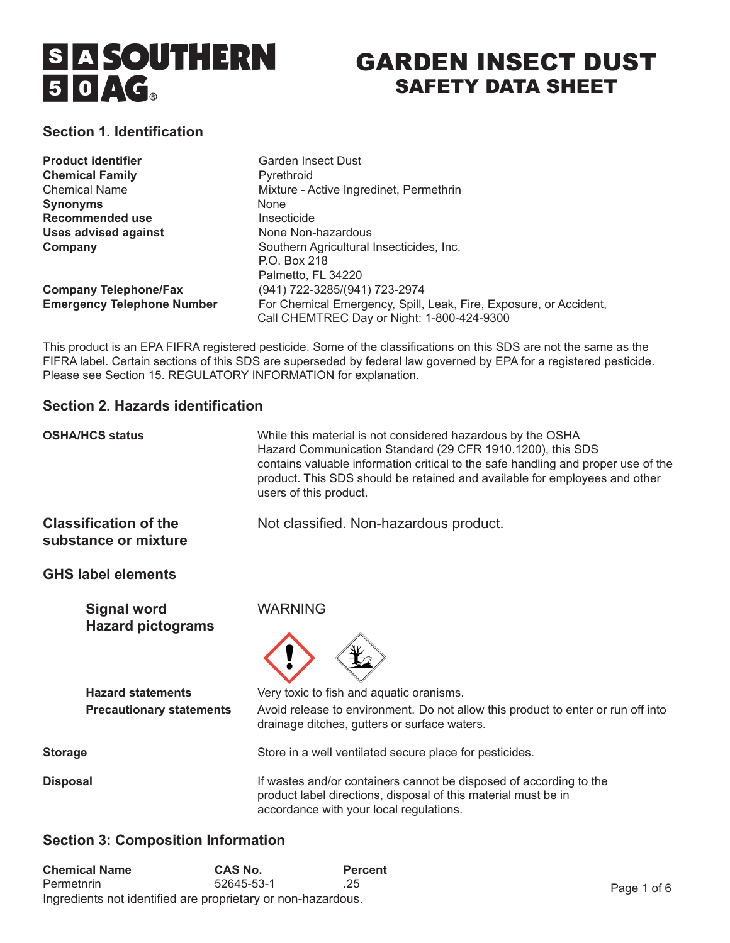

# GARDEN INSECT DUST SAFETY DATA SHEET

# **Section 1. Identification**

| <b>Product identifier</b>         | Garden Insect Dust                                                |
|-----------------------------------|-------------------------------------------------------------------|
| <b>Chemical Family</b>            | Pyrethroid                                                        |
| <b>Chemical Name</b>              | Mixture - Active Ingredinet, Permethrin                           |
| <b>Synonyms</b>                   | None                                                              |
| <b>Recommended use</b>            | Insecticide                                                       |
| <b>Uses advised against</b>       | None Non-hazardous                                                |
| Company                           | Southern Agricultural Insecticides, Inc.                          |
|                                   | P.O. Box 218                                                      |
|                                   | Palmetto, FL 34220                                                |
| <b>Company Telephone/Fax</b>      | (941) 722-3285/(941) 723-2974                                     |
| <b>Emergency Telephone Number</b> | For Chemical Emergency, Spill, Leak, Fire, Exposure, or Accident, |
|                                   | Call CHEMTREC Day or Night: 1-800-424-9300                        |

This product is an EPA FIFRA registered pesticide. Some of the classifications on this SDS are not the same as the FIFRA label. Certain sections of this SDS are superseded by federal law governed by EPA for a registered pesticide. Please see Section 15. REGULATORY INFORMATION for explanation.

## **Section 2. Hazards identification**

| <b>OSHA/HCS status</b>                                      | While this material is not considered hazardous by the OSHA<br>Hazard Communication Standard (29 CFR 1910.1200), this SDS<br>contains valuable information critical to the safe handling and proper use of the<br>product. This SDS should be retained and available for employees and other<br>users of this product. |
|-------------------------------------------------------------|------------------------------------------------------------------------------------------------------------------------------------------------------------------------------------------------------------------------------------------------------------------------------------------------------------------------|
| <b>Classification of the</b><br>substance or mixture        | Not classified. Non-hazardous product.                                                                                                                                                                                                                                                                                 |
| <b>GHS label elements</b>                                   |                                                                                                                                                                                                                                                                                                                        |
| <b>Signal word</b><br><b>Hazard pictograms</b>              | <b>WARNING</b>                                                                                                                                                                                                                                                                                                         |
| <b>Hazard statements</b><br><b>Precautionary statements</b> | Very toxic to fish and aquatic oranisms.<br>Avoid release to environment. Do not allow this product to enter or run off into                                                                                                                                                                                           |
|                                                             | drainage ditches, gutters or surface waters.                                                                                                                                                                                                                                                                           |
| <b>Storage</b>                                              | Store in a well ventilated secure place for pesticides.                                                                                                                                                                                                                                                                |
| <b>Disposal</b>                                             | If wastes and/or containers cannot be disposed of according to the<br>product label directions, disposal of this material must be in<br>accordance with your local regulations.                                                                                                                                        |

# **Section 3: Composition Information**

| <b>Chemical Name</b>                                         | <b>CAS No.</b> | <b>Percent</b> |
|--------------------------------------------------------------|----------------|----------------|
| Permetnrin                                                   | 52645-53-1     | .25            |
| Ingredients not identified are proprietary or non-hazardous. |                |                |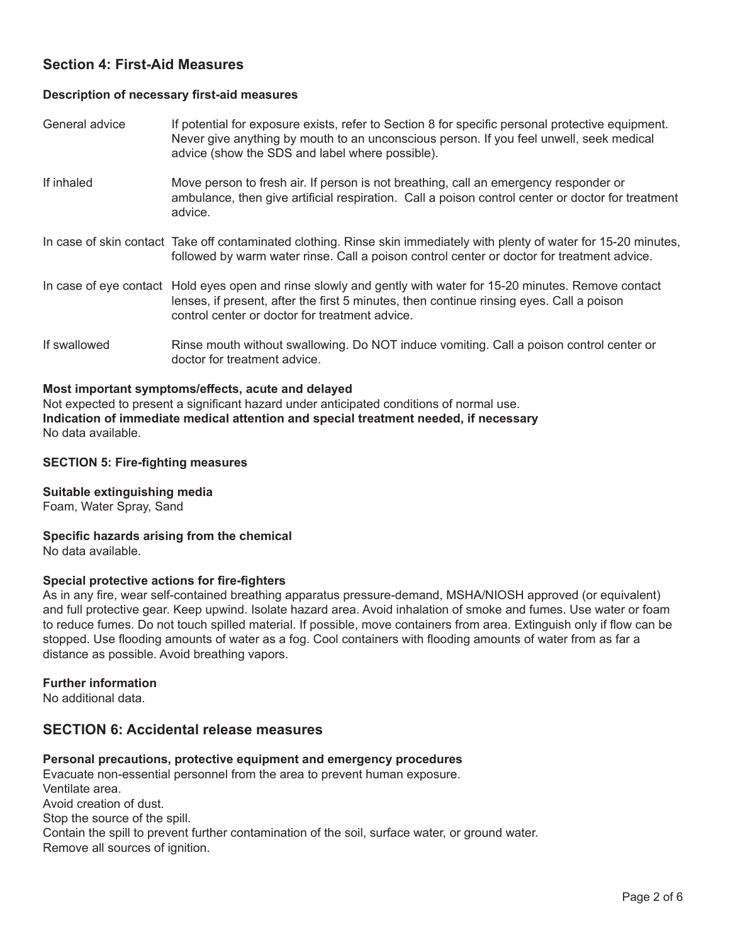# **Section 4: First-Aid Measures**

#### **Description of necessary first-aid measures**

General advice **If potential for exposure exists, refer to Section 8 for specific personal protective equipment.**  Never give anything by mouth to an unconscious person. If you feel unwell, seek medical advice (show the SDS and label where possible).

If inhaled Move person to fresh air. If person is not breathing, call an emergency responder or ambulance, then give artificial respiration. Call a poison control center or doctor for treatment advice.

In case of skin contact Take off contaminated clothing. Rinse skin immediately with plenty of water for 15-20 minutes, followed by warm water rinse. Call a poison control center or doctor for treatment advice.

In case of eye contact Hold eyes open and rinse slowly and gently with water for 15-20 minutes. Remove contact lenses, if present, after the first 5 minutes, then continue rinsing eyes. Call a poison control center or doctor for treatment advice.

If swallowed Rinse mouth without swallowing. Do NOT induce vomiting. Call a poison control center or doctor for treatment advice.

#### **Most important symptoms/effects, acute and delayed**

Not expected to present a significant hazard under anticipated conditions of normal use. **Indication of immediate medical attention and special treatment needed, if necessary** No data available.

#### **SECTION 5: Fire-fighting measures**

**Suitable extinguishing media**

Foam, Water Spray, Sand

**Specific hazards arising from the chemical** No data available.

#### **Special protective actions for fire-fighters**

As in any fire, wear self-contained breathing apparatus pressure-demand, MSHA/NIOSH approved (or equivalent) and full protective gear. Keep upwind. Isolate hazard area. Avoid inhalation of smoke and fumes. Use water or foam to reduce fumes. Do not touch spilled material. If possible, move containers from area. Extinguish only if flow can be stopped. Use flooding amounts of water as a fog. Cool containers with flooding amounts of water from as far a distance as possible. Avoid breathing vapors.

#### **Further information**

No additional data.

# **SECTION 6: Accidental release measures**

#### **Personal precautions, protective equipment and emergency procedures**

Evacuate non-essential personnel from the area to prevent human exposure. Ventilate area. Avoid creation of dust. Stop the source of the spill. Contain the spill to prevent further contamination of the soil, surface water, or ground water. Remove all sources of ignition.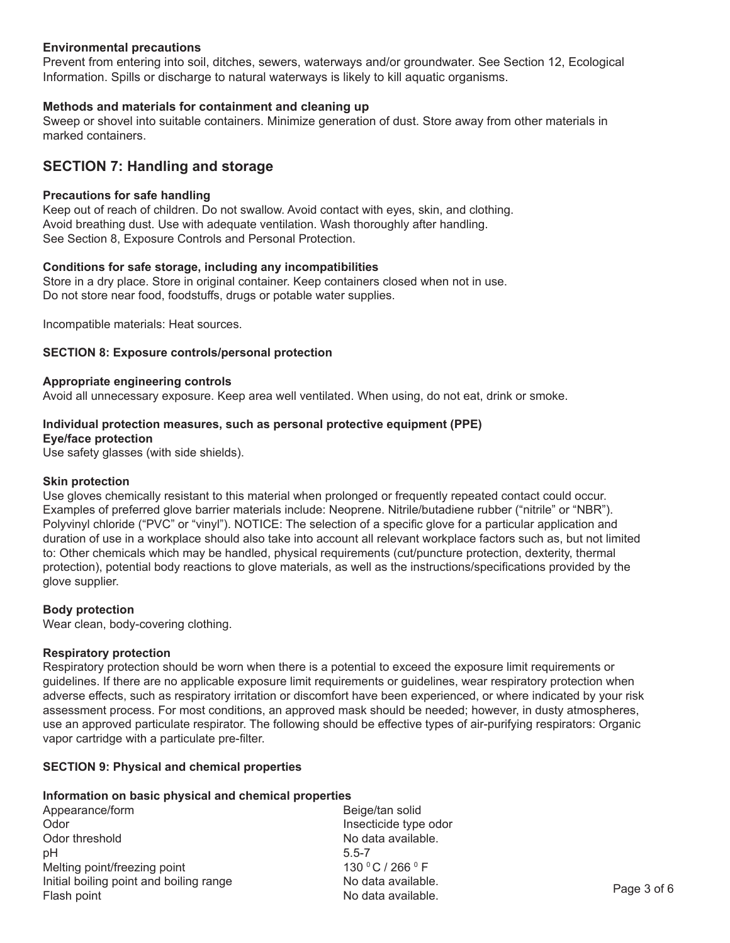#### **Environmental precautions**

Prevent from entering into soil, ditches, sewers, waterways and/or groundwater. See Section 12, Ecological Information. Spills or discharge to natural waterways is likely to kill aquatic organisms.

#### **Methods and materials for containment and cleaning up**

Sweep or shovel into suitable containers. Minimize generation of dust. Store away from other materials in marked containers.

# **SECTION 7: Handling and storage**

#### **Precautions for safe handling**

Keep out of reach of children. Do not swallow. Avoid contact with eyes, skin, and clothing. Avoid breathing dust. Use with adequate ventilation. Wash thoroughly after handling. See Section 8, Exposure Controls and Personal Protection.

#### **Conditions for safe storage, including any incompatibilities**

Store in a dry place. Store in original container. Keep containers closed when not in use. Do not store near food, foodstuffs, drugs or potable water supplies.

Incompatible materials: Heat sources.

#### **SECTION 8: Exposure controls/personal protection**

#### **Appropriate engineering controls**

Avoid all unnecessary exposure. Keep area well ventilated. When using, do not eat, drink or smoke.

# **Individual protection measures, such as personal protective equipment (PPE)**

# **Eye/face protection**

Use safety glasses (with side shields).

#### **Skin protection**

Use gloves chemically resistant to this material when prolonged or frequently repeated contact could occur. Examples of preferred glove barrier materials include: Neoprene. Nitrile/butadiene rubber ("nitrile" or "NBR"). Polyvinyl chloride ("PVC" or "vinyl"). NOTICE: The selection of a specific glove for a particular application and duration of use in a workplace should also take into account all relevant workplace factors such as, but not limited to: Other chemicals which may be handled, physical requirements (cut/puncture protection, dexterity, thermal protection), potential body reactions to glove materials, as well as the instructions/specifications provided by the glove supplier.

#### **Body protection**

Wear clean, body-covering clothing.

#### **Respiratory protection**

Respiratory protection should be worn when there is a potential to exceed the exposure limit requirements or guidelines. If there are no applicable exposure limit requirements or guidelines, wear respiratory protection when adverse effects, such as respiratory irritation or discomfort have been experienced, or where indicated by your risk assessment process. For most conditions, an approved mask should be needed; however, in dusty atmospheres, use an approved particulate respirator. The following should be effective types of air-purifying respirators: Organic vapor cartridge with a particulate pre-filter.

#### **SECTION 9: Physical and chemical properties**

#### **Information on basic physical and chemical properties**

Appearance/form Beige/tan solid Odor **Details and Contract Contract Contract Contract Contract Contract Contract Contract Contract Contract Contract Contract Contract Contract Contract Contract Contract Contract Contract Contract Contract Contract Contra** Odor threshold **Department Controller No data available.** pH 5.5-7 Melting point/freezing point  $\blacksquare$   $\blacksquare$  130 °C / 266 °F Initial boiling point and boiling range *No data available.*  $\frac{1}{2}$  and  $\frac{1}{2}$  and  $\frac{1}{2}$  and  $\frac{1}{2}$  are  $\frac{1}{2}$  and  $\frac{1}{2}$  and  $\frac{1}{2}$  are  $\frac{1}{2}$  and  $\frac{1}{2}$  are  $\frac{1}{2}$  and  $\frac{1}{2}$  are  $\frac{1}{2}$  and  $\frac{1}{2}$  are  $\frac{1}{2}$  and  $\frac{1}{2}$  are  $\frac{1}{2}$  a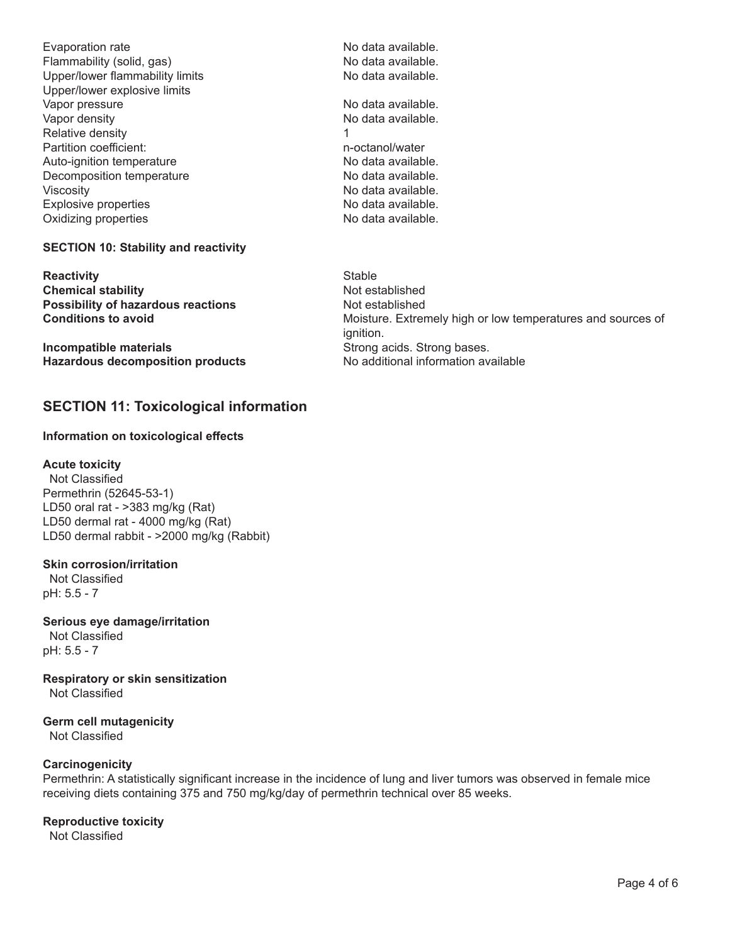Evaporation rate **business** and the **No data available.** Flammability (solid, gas) No data available. Upper/lower flammability limits **Burner No data available.** Upper/lower explosive limits Vapor pressure **and a contract of the Contract Contract Contract Contract Contract Contract Contract Contract Contract Contract Contract Contract Contract Contract Contract Contract Contract Contract Contract Contract Cont** Vapor density **and a set of the COV No data available.** Relative density **and 1** Partition coefficient: and the method of the method of the method of the method of the method of the method of the method of the method of the method of the method of the method of the method of the method of the method Auto-ignition temperature *Auto-ignition temperature Mo data available.* Decomposition temperature **Burney Constructs** No data available. Viscosity **Contract Contract Contract Contract Contract Contract Contract Contract Contract Contract Contract Contract Contract Contract Contract Contract Contract Contract Contract Contract Contract Contract Contract Cont** Explosive properties **Explosive properties No data available.** Oxidizing properties **and a set of the CO** of the No data available.

**SECTION 10: Stability and reactivity**

**Reactivity**<br> **Chemical stability**<br> **Chemical stability**<br> **Chemical stability Chemical stability Possibility of hazardous reactions Not established**<br> **Conditions to avoid Conditions Conditions Motel** 

**Incompatible materials** *n**i**strong acids. Strong bases.* **Hazardous decomposition products** No additional information available

# **SECTION 11: Toxicological information**

## **Information on toxicological effects**

#### **Acute toxicity**

 Not Classified Permethrin (52645-53-1) LD50 oral rat - >383 mg/kg (Rat) LD50 dermal rat - 4000 mg/kg (Rat) LD50 dermal rabbit - >2000 mg/kg (Rabbit)

#### **Skin corrosion/irritation**

 Not Classified pH: 5.5 - 7

**Serious eye damage/irritation** Not Classified pH: 5.5 - 7

**Respiratory or skin sensitization** Not Classified

**Germ cell mutagenicity** Not Classified

#### **Carcinogenicity**

Permethrin: A statistically significant increase in the incidence of lung and liver tumors was observed in female mice receiving diets containing 375 and 750 mg/kg/day of permethrin technical over 85 weeks.

#### **Reproductive toxicity**

Not Classified

Moisture. Extremely high or low temperatures and sources of ignition.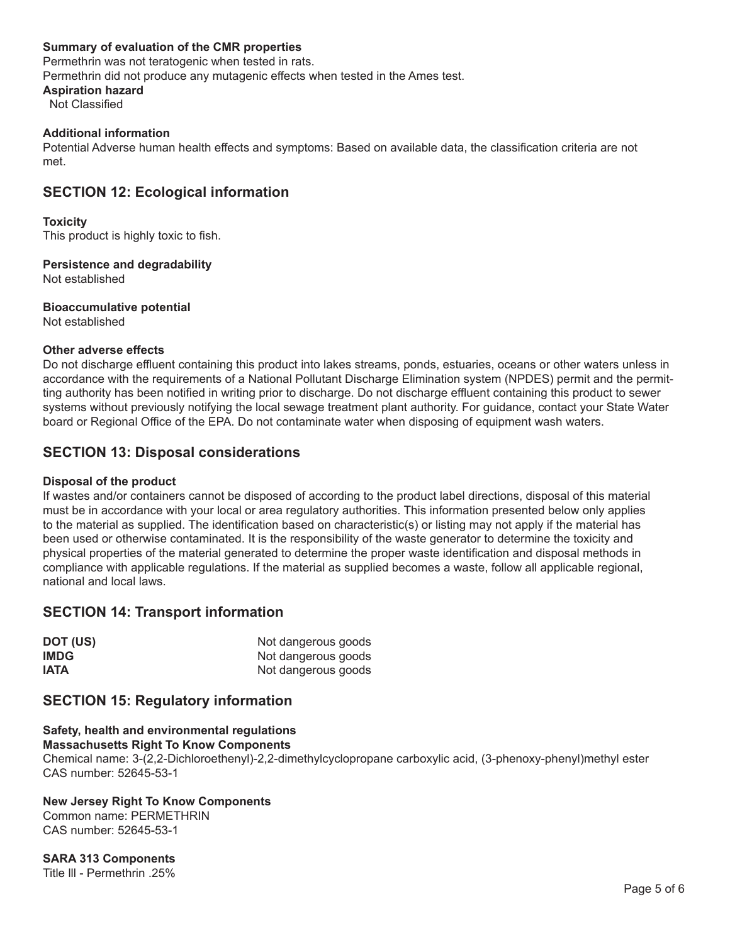#### **Summary of evaluation of the CMR properties**

Permethrin was not teratogenic when tested in rats. Permethrin did not produce any mutagenic effects when tested in the Ames test. **Aspiration hazard**

Not Classified

#### **Additional information**

Potential Adverse human health effects and symptoms: Based on available data, the classification criteria are not met.

# **SECTION 12: Ecological information**

#### **Toxicity**

This product is highly toxic to fish.

**Persistence and degradability**

Not established

**Bioaccumulative potential**

Not established

#### **Other adverse effects**

Do not discharge effluent containing this product into lakes streams, ponds, estuaries, oceans or other waters unless in accordance with the requirements of a National Pollutant Discharge Elimination system (NPDES) permit and the permitting authority has been notified in writing prior to discharge. Do not discharge effluent containing this product to sewer systems without previously notifying the local sewage treatment plant authority. For guidance, contact your State Water board or Regional Office of the EPA. Do not contaminate water when disposing of equipment wash waters.

# **SECTION 13: Disposal considerations**

#### **Disposal of the product**

If wastes and/or containers cannot be disposed of according to the product label directions, disposal of this material must be in accordance with your local or area regulatory authorities. This information presented below only applies to the material as supplied. The identification based on characteristic(s) or listing may not apply if the material has been used or otherwise contaminated. It is the responsibility of the waste generator to determine the toxicity and physical properties of the material generated to determine the proper waste identification and disposal methods in compliance with applicable regulations. If the material as supplied becomes a waste, follow all applicable regional, national and local laws.

# **SECTION 14: Transport information**

| DOT (US)    | Not dangerous goods |
|-------------|---------------------|
| <b>IMDG</b> | Not dangerous goods |
| <b>IATA</b> | Not dangerous goods |

# **SECTION 15: Regulatory information**

# **Safety, health and environmental regulations**

**Massachusetts Right To Know Components**

Chemical name: 3-(2,2-Dichloroethenyl)-2,2-dimethylcyclopropane carboxylic acid, (3-phenoxy-phenyl)methyl ester CAS number: 52645-53-1

# **New Jersey Right To Know Components**

Common name: PERMETHRIN CAS number: 52645-53-1

**SARA 313 Components** Title lll - Permethrin .25%